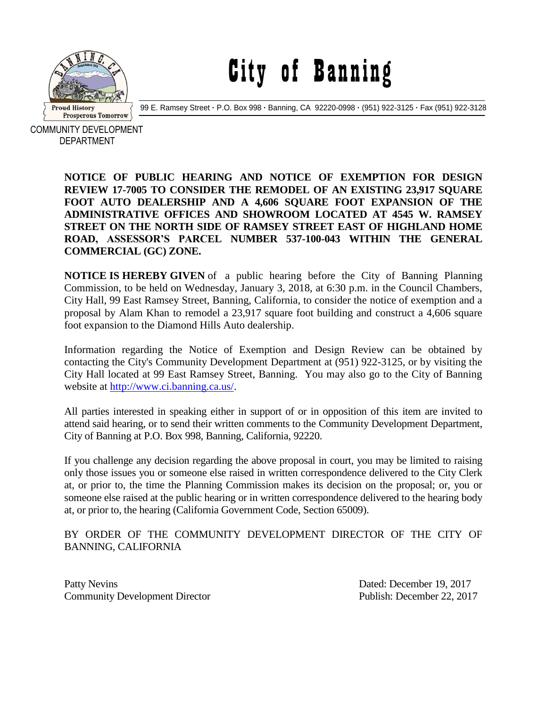

City of Banning

99 E. Ramsey Street **·** P.O. Box 998 **·** Banning, CA 92220-0998 **·** (951) 922-3125 **·** Fax (951) 922-3128

COMMUNITY DEVELOPMENT DEPARTMENT

> **NOTICE OF PUBLIC HEARING AND NOTICE OF EXEMPTION FOR DESIGN REVIEW 17-7005 TO CONSIDER THE REMODEL OF AN EXISTING 23,917 SQUARE FOOT AUTO DEALERSHIP AND A 4,606 SQUARE FOOT EXPANSION OF THE ADMINISTRATIVE OFFICES AND SHOWROOM LOCATED AT 4545 W. RAMSEY STREET ON THE NORTH SIDE OF RAMSEY STREET EAST OF HIGHLAND HOME ROAD, ASSESSOR'S PARCEL NUMBER 537-100-043 WITHIN THE GENERAL COMMERCIAL (GC) ZONE.**

> **NOTICE IS HEREBY GIVEN** of a public hearing before the City of Banning Planning Commission, to be held on Wednesday, January 3, 2018, at 6:30 p.m. in the Council Chambers, City Hall, 99 East Ramsey Street, Banning, California, to consider the notice of exemption and a proposal by Alam Khan to remodel a 23,917 square foot building and construct a 4,606 square foot expansion to the Diamond Hills Auto dealership.

> Information regarding the Notice of Exemption and Design Review can be obtained by contacting the City's Community Development Department at (951) 922-3125, or by visiting the City Hall located at 99 East Ramsey Street, Banning. You may also go to the City of Banning website at [http://www.ci.banning.ca.us/.](http://www.ci.banning.ca.us/)

> All parties interested in speaking either in support of or in opposition of this item are invited to attend said hearing, or to send their written comments to the Community Development Department, City of Banning at P.O. Box 998, Banning, California, 92220.

> If you challenge any decision regarding the above proposal in court, you may be limited to raising only those issues you or someone else raised in written correspondence delivered to the City Clerk at, or prior to, the time the Planning Commission makes its decision on the proposal; or, you or someone else raised at the public hearing or in written correspondence delivered to the hearing body at, or prior to, the hearing (California Government Code, Section 65009).

## BY ORDER OF THE COMMUNITY DEVELOPMENT DIRECTOR OF THE CITY OF BANNING, CALIFORNIA

Patty Nevins Dated: December 19, 2017 Community Development Director Publish: December 22, 2017